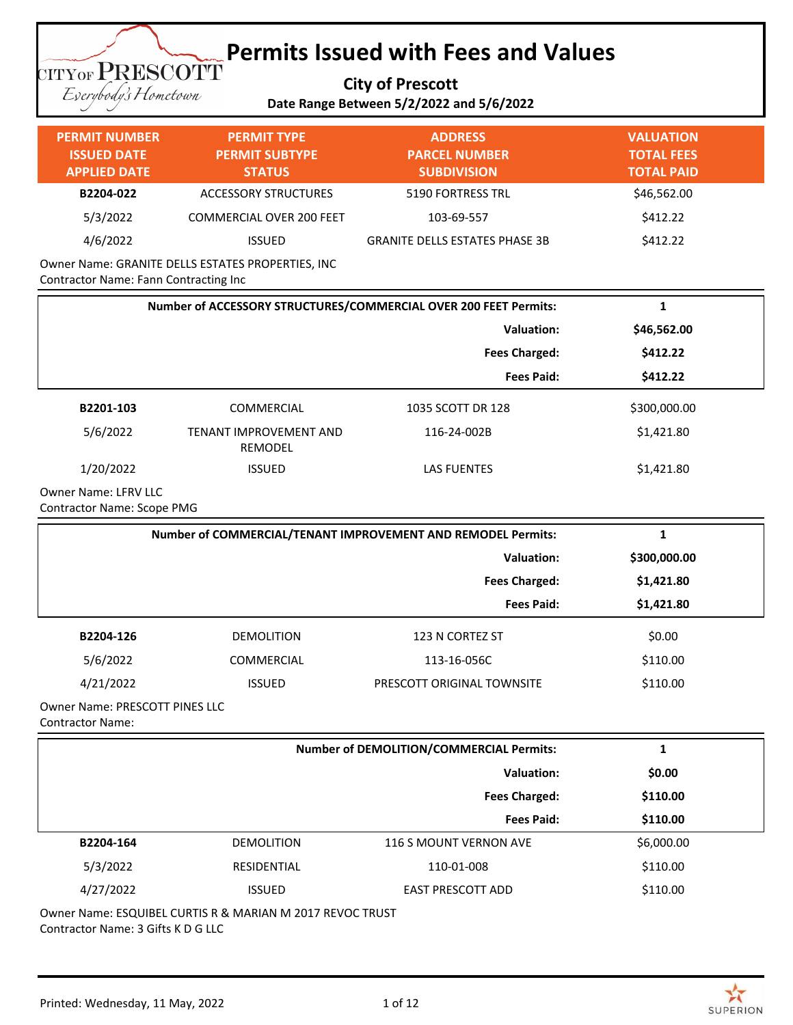### **Permits Issued with Fees and Values TITYOF PRESCOTT**

**City of Prescott**

Eserybody's Hometown

### **Date Range Between 5/2/2022 and 5/6/2022**

| <b>PERMIT NUMBER</b><br><b>ISSUED DATE</b><br><b>APPLIED DATE</b> | <b>PERMIT TYPE</b><br><b>PERMIT SUBTYPE</b><br><b>STATUS</b> | <b>ADDRESS</b><br><b>PARCEL NUMBER</b><br><b>SUBDIVISION</b>     | <b>VALUATION</b><br><b>TOTAL FEES</b><br><b>TOTAL PAID</b> |
|-------------------------------------------------------------------|--------------------------------------------------------------|------------------------------------------------------------------|------------------------------------------------------------|
| B2204-022                                                         | <b>ACCESSORY STRUCTURES</b>                                  | 5190 FORTRESS TRL                                                | \$46,562.00                                                |
| 5/3/2022                                                          | <b>COMMERCIAL OVER 200 FEET</b>                              | 103-69-557                                                       | \$412.22                                                   |
| 4/6/2022                                                          | <b>ISSUED</b>                                                | <b>GRANITE DELLS ESTATES PHASE 3B</b>                            | \$412.22                                                   |
| Contractor Name: Fann Contracting Inc                             | Owner Name: GRANITE DELLS ESTATES PROPERTIES, INC            |                                                                  |                                                            |
|                                                                   |                                                              | Number of ACCESSORY STRUCTURES/COMMERCIAL OVER 200 FEET Permits: | $\mathbf{1}$                                               |
|                                                                   |                                                              | <b>Valuation:</b>                                                | \$46,562.00                                                |
|                                                                   |                                                              | <b>Fees Charged:</b>                                             | \$412.22                                                   |
|                                                                   |                                                              | <b>Fees Paid:</b>                                                | \$412.22                                                   |
| B2201-103                                                         | COMMERCIAL                                                   | 1035 SCOTT DR 128                                                | \$300,000.00                                               |
| 5/6/2022                                                          | TENANT IMPROVEMENT AND<br>REMODEL                            | 116-24-002B                                                      | \$1,421.80                                                 |
| 1/20/2022                                                         | <b>ISSUED</b>                                                | <b>LAS FUENTES</b>                                               | \$1,421.80                                                 |
| <b>Owner Name: LFRV LLC</b><br><b>Contractor Name: Scope PMG</b>  |                                                              |                                                                  |                                                            |
|                                                                   |                                                              | Number of COMMERCIAL/TENANT IMPROVEMENT AND REMODEL Permits:     | $\mathbf{1}$                                               |
|                                                                   |                                                              | <b>Valuation:</b>                                                | \$300,000.00                                               |
|                                                                   |                                                              | <b>Fees Charged:</b>                                             | \$1,421.80                                                 |
|                                                                   |                                                              | <b>Fees Paid:</b>                                                | \$1,421.80                                                 |
| B2204-126                                                         | <b>DEMOLITION</b>                                            | 123 N CORTEZ ST                                                  | \$0.00                                                     |
| 5/6/2022                                                          | COMMERCIAL                                                   | 113-16-056C                                                      | \$110.00                                                   |
| 4/21/2022                                                         | <b>ISSUED</b>                                                | PRESCOTT ORIGINAL TOWNSITE                                       | \$110.00                                                   |
| Owner Name: PRESCOTT PINES LLC<br><b>Contractor Name:</b>         |                                                              |                                                                  |                                                            |

| <b>Number of DEMOLITION/COMMERCIAL Permits:</b> |                   |                          |            |  |
|-------------------------------------------------|-------------------|--------------------------|------------|--|
|                                                 |                   | <b>Valuation:</b>        | \$0.00     |  |
|                                                 |                   | <b>Fees Charged:</b>     | \$110.00   |  |
|                                                 |                   | <b>Fees Paid:</b>        | \$110.00   |  |
| B2204-164                                       | <b>DEMOLITION</b> | 116 S MOUNT VERNON AVE   | \$6,000.00 |  |
| 5/3/2022                                        | RESIDENTIAL       | 110-01-008               | \$110.00   |  |
| 4/27/2022                                       | <b>ISSUED</b>     | <b>EAST PRESCOTT ADD</b> | \$110.00   |  |

Owner Name: ESQUIBEL CURTIS R & MARIAN M 2017 REVOC TRUST Contractor Name: 3 Gifts K D G LLC

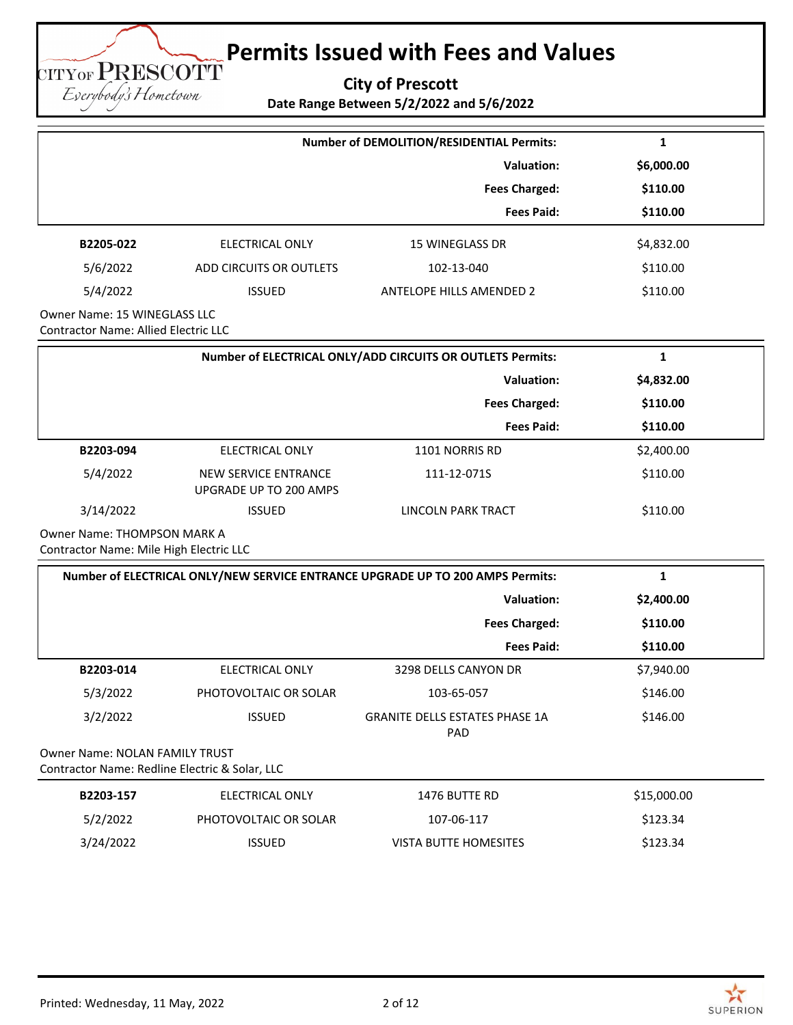**City of Prescott**

**Date Range Between 5/2/2022 and 5/6/2022**

|                                                                                  |                                                       | Number of DEMOLITION/RESIDENTIAL Permits:                                      | 1            |
|----------------------------------------------------------------------------------|-------------------------------------------------------|--------------------------------------------------------------------------------|--------------|
|                                                                                  |                                                       | <b>Valuation:</b>                                                              | \$6,000.00   |
|                                                                                  |                                                       | <b>Fees Charged:</b>                                                           | \$110.00     |
|                                                                                  |                                                       | <b>Fees Paid:</b>                                                              | \$110.00     |
| B2205-022                                                                        | <b>ELECTRICAL ONLY</b>                                | <b>15 WINEGLASS DR</b>                                                         | \$4,832.00   |
| 5/6/2022                                                                         | ADD CIRCUITS OR OUTLETS                               | 102-13-040                                                                     | \$110.00     |
| 5/4/2022                                                                         | <b>ISSUED</b>                                         | <b>ANTELOPE HILLS AMENDED 2</b>                                                | \$110.00     |
| Owner Name: 15 WINEGLASS LLC<br><b>Contractor Name: Allied Electric LLC</b>      |                                                       |                                                                                |              |
|                                                                                  |                                                       | Number of ELECTRICAL ONLY/ADD CIRCUITS OR OUTLETS Permits:                     | $\mathbf{1}$ |
|                                                                                  |                                                       | <b>Valuation:</b>                                                              | \$4,832.00   |
|                                                                                  |                                                       | <b>Fees Charged:</b>                                                           | \$110.00     |
|                                                                                  |                                                       | <b>Fees Paid:</b>                                                              | \$110.00     |
| B2203-094                                                                        | <b>ELECTRICAL ONLY</b>                                | 1101 NORRIS RD                                                                 | \$2,400.00   |
| 5/4/2022                                                                         | <b>NEW SERVICE ENTRANCE</b><br>UPGRADE UP TO 200 AMPS | 111-12-071S                                                                    | \$110.00     |
| 3/14/2022                                                                        | <b>ISSUED</b>                                         | LINCOLN PARK TRACT                                                             | \$110.00     |
| Owner Name: THOMPSON MARK A<br>Contractor Name: Mile High Electric LLC           |                                                       |                                                                                |              |
|                                                                                  |                                                       | Number of ELECTRICAL ONLY/NEW SERVICE ENTRANCE UPGRADE UP TO 200 AMPS Permits: | $\mathbf{1}$ |
|                                                                                  |                                                       | Valuation:                                                                     | \$2,400.00   |
|                                                                                  |                                                       | <b>Fees Charged:</b>                                                           | \$110.00     |
|                                                                                  |                                                       | <b>Fees Paid:</b>                                                              | \$110.00     |
| B2203-014                                                                        | <b>ELECTRICAL ONLY</b>                                | 3298 DELLS CANYON DR                                                           | \$7,940.00   |
| 5/3/2022                                                                         | PHOTOVOLTAIC OR SOLAR                                 | 103-65-057                                                                     | \$146.00     |
| 3/2/2022                                                                         | <b>ISSUED</b>                                         | <b>GRANITE DELLS ESTATES PHASE 1A</b><br>PAD                                   | \$146.00     |
| Owner Name: NOLAN FAMILY TRUST<br>Contractor Name: Redline Electric & Solar, LLC |                                                       |                                                                                |              |
| B2203-157                                                                        | ELECTRICAL ONLY                                       | 1476 BUTTE RD                                                                  | \$15,000.00  |
| 5/2/2022                                                                         | PHOTOVOLTAIC OR SOLAR                                 | 107-06-117                                                                     | \$123.34     |
| 3/24/2022                                                                        | <b>ISSUED</b>                                         | VISTA BUTTE HOMESITES                                                          | \$123.34     |

**TITYOF PRESCOTT** Eserybody's Hometown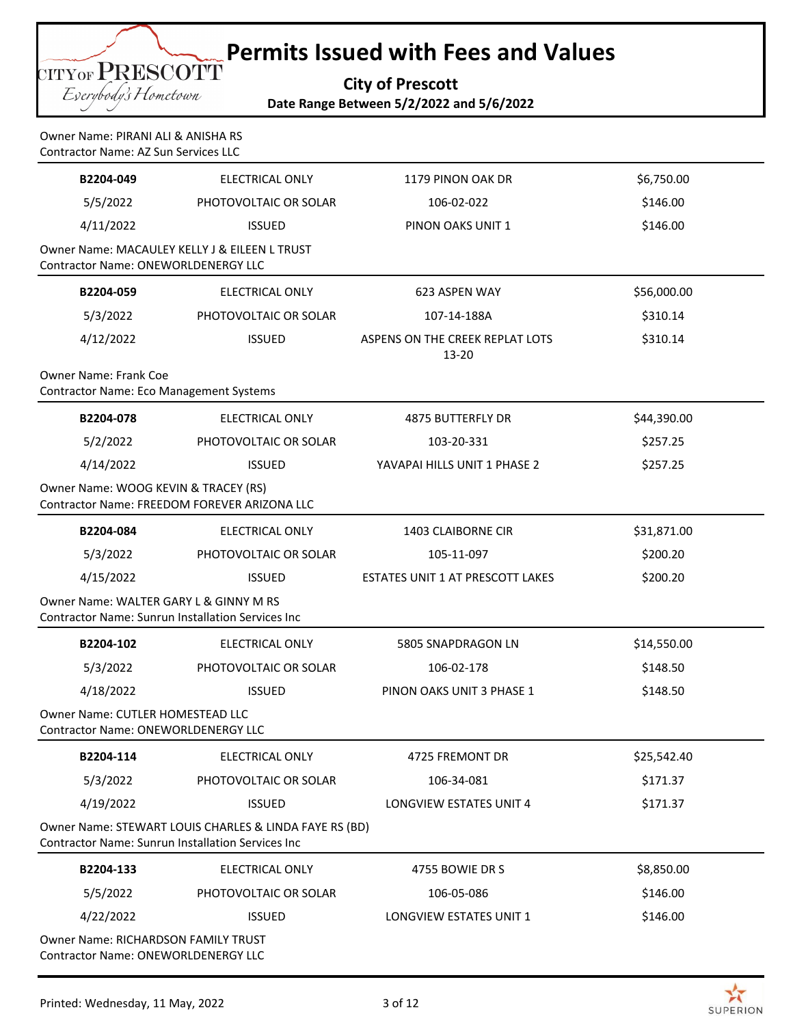**City of Prescott Date Range Between 5/2/2022 and 5/6/2022**

Eserybody's Hometown

**TITYOF PRESCOTT** 

|                                    | <b>Date Range Bet</b> |
|------------------------------------|-----------------------|
|                                    |                       |
| Owner Name: PIRANI ALI & ANISHA RS |                       |

| <b>Contractor Name: AZ Sun Services LLC</b>                                       |                                                                                                                    |                                          |             |  |
|-----------------------------------------------------------------------------------|--------------------------------------------------------------------------------------------------------------------|------------------------------------------|-------------|--|
| B2204-049                                                                         | <b>ELECTRICAL ONLY</b>                                                                                             | 1179 PINON OAK DR                        | \$6,750.00  |  |
| 5/5/2022                                                                          | PHOTOVOLTAIC OR SOLAR                                                                                              | 106-02-022                               | \$146.00    |  |
| 4/11/2022                                                                         | <b>ISSUED</b>                                                                                                      | PINON OAKS UNIT 1                        | \$146.00    |  |
| <b>Contractor Name: ONEWORLDENERGY LLC</b>                                        | Owner Name: MACAULEY KELLY J & EILEEN L TRUST                                                                      |                                          |             |  |
| B2204-059                                                                         | <b>ELECTRICAL ONLY</b>                                                                                             | 623 ASPEN WAY                            | \$56,000.00 |  |
| 5/3/2022                                                                          | PHOTOVOLTAIC OR SOLAR                                                                                              | 107-14-188A                              | \$310.14    |  |
| 4/12/2022                                                                         | <b>ISSUED</b>                                                                                                      | ASPENS ON THE CREEK REPLAT LOTS<br>13-20 | \$310.14    |  |
| <b>Owner Name: Frank Coe</b><br><b>Contractor Name: Eco Management Systems</b>    |                                                                                                                    |                                          |             |  |
| B2204-078                                                                         | <b>ELECTRICAL ONLY</b>                                                                                             | <b>4875 BUTTERFLY DR</b>                 | \$44,390.00 |  |
| 5/2/2022                                                                          | PHOTOVOLTAIC OR SOLAR                                                                                              | 103-20-331                               | \$257.25    |  |
| 4/14/2022                                                                         | <b>ISSUED</b>                                                                                                      | YAVAPAI HILLS UNIT 1 PHASE 2             | \$257.25    |  |
| Owner Name: WOOG KEVIN & TRACEY (RS)                                              | Contractor Name: FREEDOM FOREVER ARIZONA LLC                                                                       |                                          |             |  |
| B2204-084                                                                         | ELECTRICAL ONLY                                                                                                    | 1403 CLAIBORNE CIR                       | \$31,871.00 |  |
| 5/3/2022                                                                          | PHOTOVOLTAIC OR SOLAR                                                                                              | 105-11-097                               | \$200.20    |  |
| 4/15/2022                                                                         | <b>ISSUED</b>                                                                                                      | ESTATES UNIT 1 AT PRESCOTT LAKES         | \$200.20    |  |
| Owner Name: WALTER GARY L & GINNY M RS                                            | <b>Contractor Name: Sunrun Installation Services Inc</b>                                                           |                                          |             |  |
| B2204-102                                                                         | <b>ELECTRICAL ONLY</b>                                                                                             | 5805 SNAPDRAGON LN                       | \$14,550.00 |  |
| 5/3/2022                                                                          | PHOTOVOLTAIC OR SOLAR                                                                                              | 106-02-178                               | \$148.50    |  |
| 4/18/2022                                                                         | <b>ISSUED</b>                                                                                                      | PINON OAKS UNIT 3 PHASE 1                | \$148.50    |  |
| Owner Name: CUTLER HOMESTEAD LLC<br>Contractor Name: ONEWORLDENERGY LLC           |                                                                                                                    |                                          |             |  |
| B2204-114                                                                         | ELECTRICAL ONLY                                                                                                    | 4725 FREMONT DR                          | \$25,542.40 |  |
| 5/3/2022                                                                          | PHOTOVOLTAIC OR SOLAR                                                                                              | 106-34-081                               | \$171.37    |  |
| 4/19/2022                                                                         | <b>ISSUED</b>                                                                                                      | <b>LONGVIEW ESTATES UNIT 4</b>           | \$171.37    |  |
|                                                                                   | Owner Name: STEWART LOUIS CHARLES & LINDA FAYE RS (BD)<br><b>Contractor Name: Sunrun Installation Services Inc</b> |                                          |             |  |
| B2204-133                                                                         | <b>ELECTRICAL ONLY</b>                                                                                             | 4755 BOWIE DR S                          | \$8,850.00  |  |
| 5/5/2022                                                                          | PHOTOVOLTAIC OR SOLAR                                                                                              | 106-05-086                               | \$146.00    |  |
| 4/22/2022                                                                         | <b>ISSUED</b>                                                                                                      | LONGVIEW ESTATES UNIT 1                  | \$146.00    |  |
| Owner Name: RICHARDSON FAMILY TRUST<br><b>Contractor Name: ONEWORLDENERGY LLC</b> |                                                                                                                    |                                          |             |  |

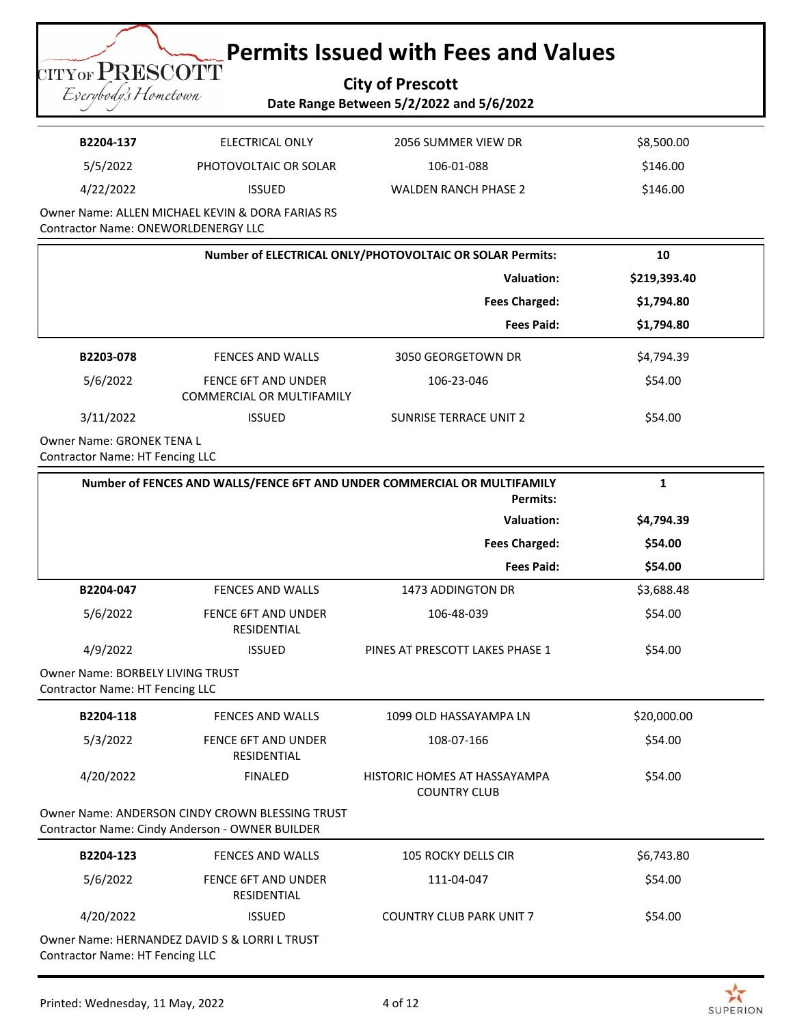### **City of Prescott Date Range Between 5/2/2022 and 5/6/2022**

| B2204-137 | ELECTRICAL ONLY                            | 2056 SUMMER VIEW DR         | \$8,500.00 |
|-----------|--------------------------------------------|-----------------------------|------------|
| 5/5/2022  | PHOTOVOLTAIC OR SOLAR                      | 106-01-088                  | \$146.00   |
| 4/22/2022 | <b>ISSUED</b>                              | <b>WALDEN RANCH PHASE 2</b> | \$146.00   |
|           | ALL ALLEN ALCUAEL IZEVIAL O BOBA FABIAC BC |                             |            |

Owner Name: ALLEN MICHAEL KEVIN & DORA FARIAS RS Contractor Name: ONEWORLDENERGY LLC

|           | Number of ELECTRICAL ONLY/PHOTOVOLTAIC OR SOLAR Permits:       |                               |              |
|-----------|----------------------------------------------------------------|-------------------------------|--------------|
|           | <b>Valuation:</b>                                              |                               | \$219,393.40 |
|           |                                                                | <b>Fees Charged:</b>          | \$1,794.80   |
|           |                                                                | <b>Fees Paid:</b>             | \$1,794.80   |
| B2203-078 | FENCES AND WALLS                                               | 3050 GEORGETOWN DR            | \$4,794.39   |
| 5/6/2022  | <b>FENCE 6FT AND UNDER</b><br><b>COMMERCIAL OR MULTIFAMILY</b> | 106-23-046                    | \$54.00      |
| 3/11/2022 | <b>ISSUED</b>                                                  | <b>SUNRISE TERRACE UNIT 2</b> | \$54.00      |

Owner Name: GRONEK TENA L Contractor Name: HT Fencing LLC

**TITYOF PRESCOTT** Eserybody's Hometown

|                                                                            | Number of FENCES AND WALLS/FENCE 6FT AND UNDER COMMERCIAL OR MULTIFAMILY<br><b>Permits:</b>        |                                                     |             |
|----------------------------------------------------------------------------|----------------------------------------------------------------------------------------------------|-----------------------------------------------------|-------------|
|                                                                            |                                                                                                    | <b>Valuation:</b>                                   | \$4,794.39  |
|                                                                            |                                                                                                    | <b>Fees Charged:</b>                                | \$54.00     |
|                                                                            |                                                                                                    | <b>Fees Paid:</b>                                   | \$54.00     |
| B2204-047                                                                  | <b>FENCES AND WALLS</b>                                                                            | 1473 ADDINGTON DR                                   | \$3,688.48  |
| 5/6/2022                                                                   | <b>FENCE 6FT AND UNDER</b><br><b>RESIDENTIAL</b>                                                   | 106-48-039                                          | \$54.00     |
| 4/9/2022                                                                   | <b>ISSUED</b>                                                                                      | PINES AT PRESCOTT LAKES PHASE 1                     | \$54.00     |
| <b>Owner Name: BORBELY LIVING TRUST</b><br>Contractor Name: HT Fencing LLC |                                                                                                    |                                                     |             |
| B2204-118                                                                  | <b>FENCES AND WALLS</b>                                                                            | 1099 OLD HASSAYAMPA LN                              | \$20,000.00 |
| 5/3/2022                                                                   | <b>FENCE 6FT AND UNDER</b><br><b>RESIDENTIAL</b>                                                   | 108-07-166                                          | \$54.00     |
| 4/20/2022                                                                  | <b>FINALED</b>                                                                                     | HISTORIC HOMES AT HASSAYAMPA<br><b>COUNTRY CLUB</b> | \$54.00     |
|                                                                            | Owner Name: ANDERSON CINDY CROWN BLESSING TRUST<br>Contractor Name: Cindy Anderson - OWNER BUILDER |                                                     |             |
| B2204-123                                                                  | <b>FENCES AND WALLS</b>                                                                            | <b>105 ROCKY DELLS CIR</b>                          | \$6,743.80  |
| 5/6/2022                                                                   | <b>FENCE 6FT AND UNDER</b><br><b>RESIDENTIAL</b>                                                   | 111-04-047                                          | \$54.00     |
| 4/20/2022                                                                  | <b>ISSUED</b>                                                                                      | <b>COUNTRY CLUB PARK UNIT 7</b>                     | \$54.00     |
| Contractor Name: HT Fencing LLC                                            | Owner Name: HERNANDEZ DAVID S & LORRI L TRUST                                                      |                                                     |             |

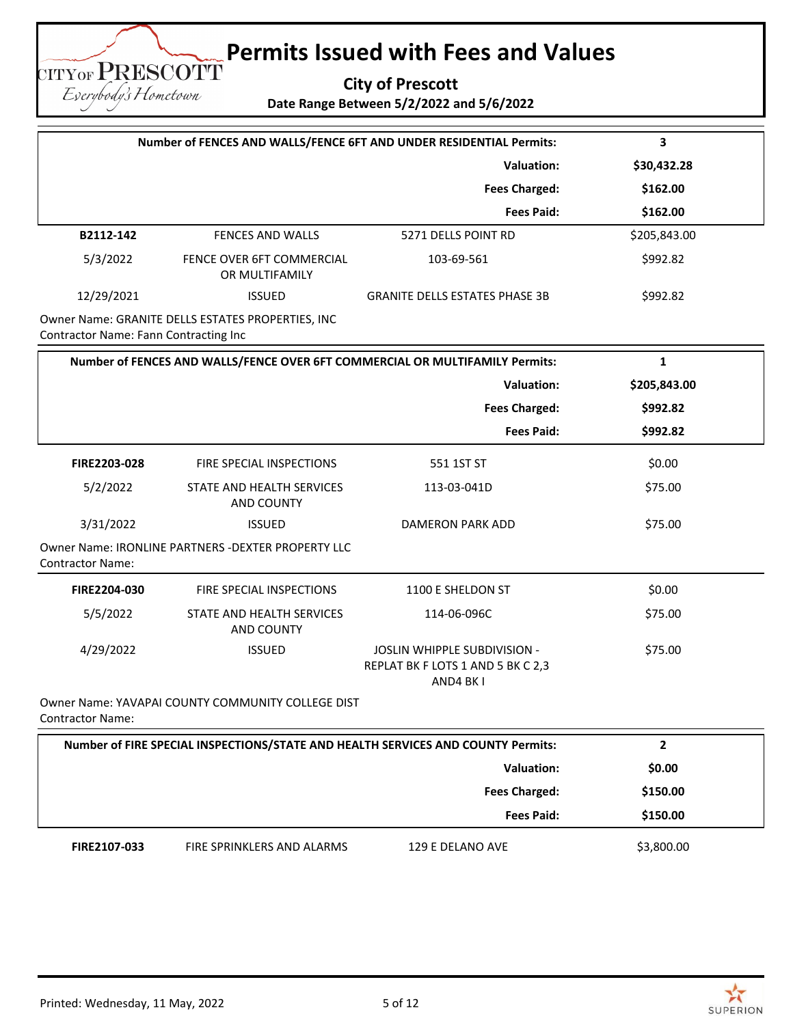**City of Prescott**

**Date Range Between 5/2/2022 and 5/6/2022**

|                                       |                                                     | Number of FENCES AND WALLS/FENCE 6FT AND UNDER RESIDENTIAL Permits:              | 3              |
|---------------------------------------|-----------------------------------------------------|----------------------------------------------------------------------------------|----------------|
|                                       |                                                     | <b>Valuation:</b>                                                                | \$30,432.28    |
|                                       |                                                     | <b>Fees Charged:</b>                                                             | \$162.00       |
|                                       |                                                     | <b>Fees Paid:</b>                                                                | \$162.00       |
| B2112-142                             | <b>FENCES AND WALLS</b>                             | 5271 DELLS POINT RD                                                              | \$205,843.00   |
| 5/3/2022                              | FENCE OVER 6FT COMMERCIAL<br>OR MULTIFAMILY         | 103-69-561                                                                       | \$992.82       |
| 12/29/2021                            | <b>ISSUED</b>                                       | <b>GRANITE DELLS ESTATES PHASE 3B</b>                                            | \$992.82       |
| Contractor Name: Fann Contracting Inc | Owner Name: GRANITE DELLS ESTATES PROPERTIES, INC   |                                                                                  |                |
|                                       |                                                     | Number of FENCES AND WALLS/FENCE OVER 6FT COMMERCIAL OR MULTIFAMILY Permits:     | $\mathbf{1}$   |
|                                       |                                                     | <b>Valuation:</b>                                                                | \$205,843.00   |
|                                       |                                                     | <b>Fees Charged:</b>                                                             | \$992.82       |
|                                       |                                                     | <b>Fees Paid:</b>                                                                | \$992.82       |
| FIRE2203-028                          | FIRE SPECIAL INSPECTIONS                            | 551 1ST ST                                                                       | \$0.00         |
| 5/2/2022                              | STATE AND HEALTH SERVICES<br>AND COUNTY             | 113-03-041D                                                                      | \$75.00        |
| 3/31/2022                             | <b>ISSUED</b>                                       | DAMERON PARK ADD                                                                 | \$75.00        |
| <b>Contractor Name:</b>               | Owner Name: IRONLINE PARTNERS - DEXTER PROPERTY LLC |                                                                                  |                |
| FIRE2204-030                          | FIRE SPECIAL INSPECTIONS                            | 1100 E SHELDON ST                                                                | \$0.00         |
| 5/5/2022                              | STATE AND HEALTH SERVICES<br><b>AND COUNTY</b>      | 114-06-096C                                                                      | \$75.00        |
| 4/29/2022                             | <b>ISSUED</b>                                       | JOSLIN WHIPPLE SUBDIVISION -<br>REPLAT BK F LOTS 1 AND 5 BK C 2,3<br>AND4 BK I   | \$75.00        |
| <b>Contractor Name:</b>               | Owner Name: YAVAPAI COUNTY COMMUNITY COLLEGE DIST   |                                                                                  |                |
|                                       |                                                     | Number of FIRE SPECIAL INSPECTIONS/STATE AND HEALTH SERVICES AND COUNTY Permits: | $\overline{2}$ |
|                                       |                                                     | <b>Valuation:</b>                                                                | \$0.00         |
|                                       |                                                     | <b>Fees Charged:</b>                                                             | \$150.00       |
|                                       |                                                     | <b>Fees Paid:</b>                                                                | \$150.00       |

**TITYOF PRESCOTT** Eserybody's Hometown

FIRE2107-033 FIRE SPRINKLERS AND ALARMS 129 E DELANO AVE \$3,800.00

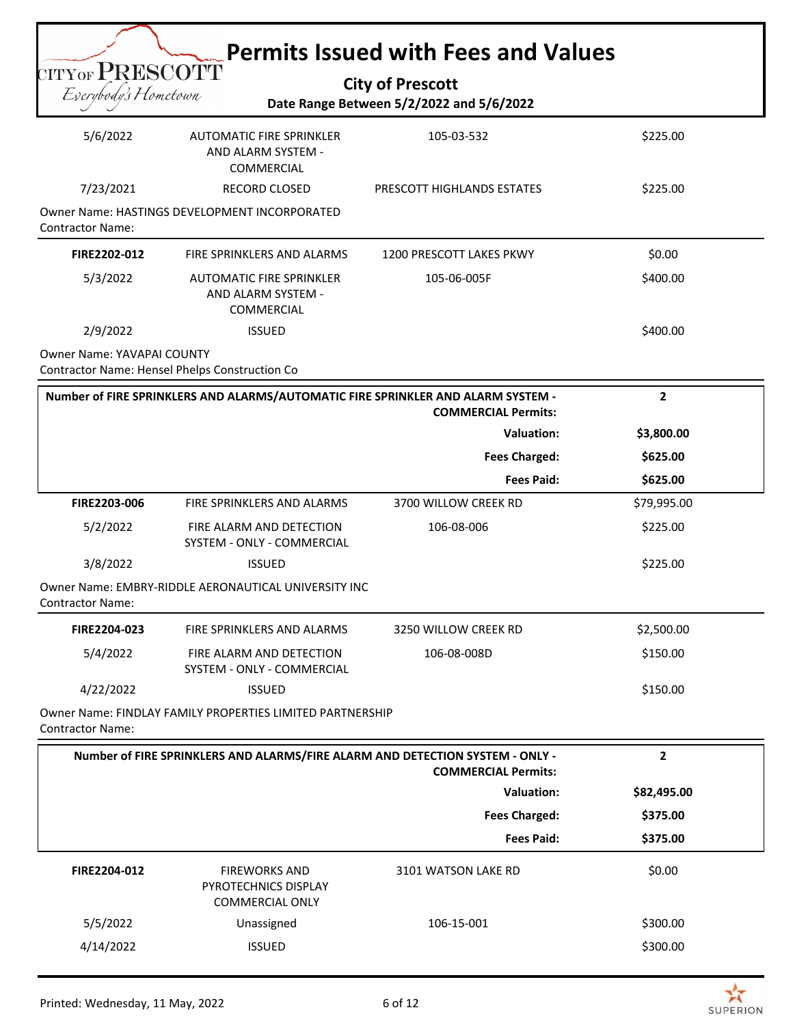|                                   |                                                                                  | <b>Permits Issued with Fees and Values</b>                          |              |
|-----------------------------------|----------------------------------------------------------------------------------|---------------------------------------------------------------------|--------------|
| $_{\rm CITYOF}$ ${\rm PRESCOTT}$  |                                                                                  |                                                                     |              |
| Eserybody's Hometown              |                                                                                  | <b>City of Prescott</b><br>Date Range Between 5/2/2022 and 5/6/2022 |              |
|                                   |                                                                                  |                                                                     |              |
| 5/6/2022                          | <b>AUTOMATIC FIRE SPRINKLER</b><br>AND ALARM SYSTEM -<br>COMMERCIAL              | 105-03-532                                                          | \$225.00     |
| 7/23/2021                         | <b>RECORD CLOSED</b>                                                             | PRESCOTT HIGHLANDS ESTATES                                          | \$225.00     |
| <b>Contractor Name:</b>           | Owner Name: HASTINGS DEVELOPMENT INCORPORATED                                    |                                                                     |              |
| FIRE2202-012                      | FIRE SPRINKLERS AND ALARMS                                                       | 1200 PRESCOTT LAKES PKWY                                            | \$0.00       |
| 5/3/2022                          | <b>AUTOMATIC FIRE SPRINKLER</b><br>AND ALARM SYSTEM -<br>COMMERCIAL              | 105-06-005F                                                         | \$400.00     |
| 2/9/2022                          | <b>ISSUED</b>                                                                    |                                                                     | \$400.00     |
| <b>Owner Name: YAVAPAI COUNTY</b> | Contractor Name: Hensel Phelps Construction Co                                   |                                                                     |              |
|                                   | Number of FIRE SPRINKLERS AND ALARMS/AUTOMATIC FIRE SPRINKLER AND ALARM SYSTEM - | <b>COMMERCIAL Permits:</b>                                          | $\mathbf{2}$ |
|                                   |                                                                                  | <b>Valuation:</b>                                                   | \$3,800.00   |
|                                   |                                                                                  | <b>Fees Charged:</b>                                                | \$625.00     |
|                                   |                                                                                  | <b>Fees Paid:</b>                                                   | \$625.00     |
| FIRE2203-006                      | FIRE SPRINKLERS AND ALARMS                                                       | 3700 WILLOW CREEK RD                                                | \$79,995.00  |
| 5/2/2022                          | FIRE ALARM AND DETECTION<br>SYSTEM - ONLY - COMMERCIAL                           | 106-08-006                                                          | \$225.00     |
| 3/8/2022                          | <b>ISSUED</b>                                                                    |                                                                     | \$225.00     |
| <b>Contractor Name:</b>           | Owner Name: EMBRY-RIDDLE AERONAUTICAL UNIVERSITY INC                             |                                                                     |              |
| FIRE2204-023                      | FIRE SPRINKLERS AND ALARMS                                                       | 3250 WILLOW CREEK RD                                                | \$2,500.00   |
| 5/4/2022                          | FIRE ALARM AND DETECTION<br><b>SYSTEM - ONLY - COMMERCIAL</b>                    | 106-08-008D                                                         | \$150.00     |
| 4/22/2022                         | <b>ISSUED</b>                                                                    |                                                                     | \$150.00     |
| <b>Contractor Name:</b>           | Owner Name: FINDLAY FAMILY PROPERTIES LIMITED PARTNERSHIP                        |                                                                     |              |
|                                   | Number of FIRE SPRINKLERS AND ALARMS/FIRE ALARM AND DETECTION SYSTEM - ONLY -    | <b>COMMERCIAL Permits:</b>                                          | $\mathbf{2}$ |
|                                   |                                                                                  | <b>Valuation:</b>                                                   | \$82,495.00  |
|                                   |                                                                                  | <b>Fees Charged:</b>                                                | \$375.00     |
|                                   |                                                                                  | <b>Fees Paid:</b>                                                   | \$375.00     |
| FIRE2204-012                      | <b>FIREWORKS AND</b><br>PYROTECHNICS DISPLAY<br><b>COMMERCIAL ONLY</b>           | 3101 WATSON LAKE RD                                                 | \$0.00       |
| 5/5/2022                          | Unassigned                                                                       | 106-15-001                                                          | \$300.00     |
| 4/14/2022                         | <b>ISSUED</b>                                                                    |                                                                     | \$300.00     |

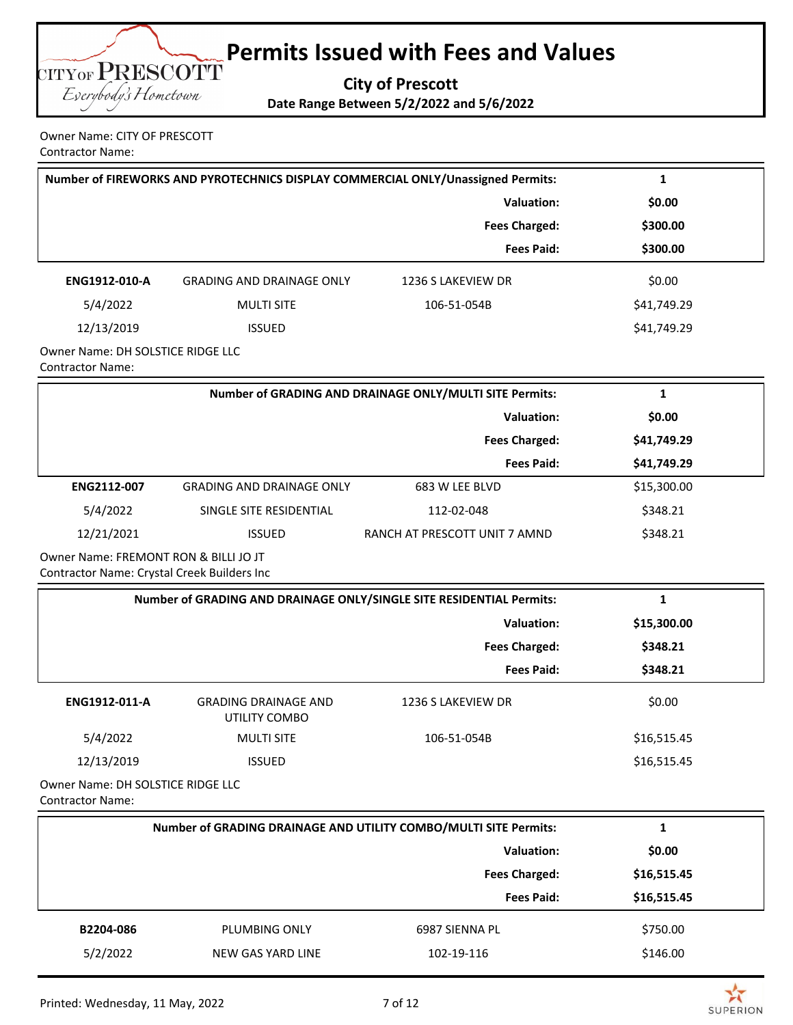

Owner Name: CITY OF PRESCOTT Contractor Name:

|                                                         | Number of FIREWORKS AND PYROTECHNICS DISPLAY COMMERCIAL ONLY/Unassigned Permits:<br>1 |                      |             |  |
|---------------------------------------------------------|---------------------------------------------------------------------------------------|----------------------|-------------|--|
|                                                         |                                                                                       | Valuation:           | \$0.00      |  |
|                                                         |                                                                                       | <b>Fees Charged:</b> | \$300.00    |  |
|                                                         |                                                                                       | <b>Fees Paid:</b>    | \$300.00    |  |
| ENG1912-010-A                                           | <b>GRADING AND DRAINAGE ONLY</b>                                                      | 1236 S LAKEVIEW DR   | \$0.00      |  |
| 5/4/2022                                                | <b>MULTI SITE</b>                                                                     | 106-51-054B          | \$41,749.29 |  |
| 12/13/2019                                              | <b>ISSUED</b>                                                                         |                      | \$41,749.29 |  |
| Owner Name: DH SOLSTICE RIDGE LLC<br>Cambro shan Manazi |                                                                                       |                      |             |  |

Contractor Name:

|                    | Number of GRADING AND DRAINAGE ONLY/MULTI SITE Permits: |                               |             |
|--------------------|---------------------------------------------------------|-------------------------------|-------------|
|                    | Valuation:                                              |                               |             |
|                    |                                                         | <b>Fees Charged:</b>          | \$41,749.29 |
|                    |                                                         | <b>Fees Paid:</b>             | \$41,749.29 |
| <b>ENG2112-007</b> | <b>GRADING AND DRAINAGE ONLY</b>                        | 683 W LEE BLVD                | \$15,300.00 |
| 5/4/2022           | SINGLE SITE RESIDENTIAL                                 | 112-02-048                    | \$348.21    |
| 12/21/2021         | <b>ISSUED</b>                                           | RANCH AT PRESCOTT UNIT 7 AMND | \$348.21    |

Owner Name: FREMONT RON & BILLI JO JT Contractor Name: Crystal Creek Builders Inc

| Number of GRADING AND DRAINAGE ONLY/SINGLE SITE RESIDENTIAL Permits: |                                              |                      |             |
|----------------------------------------------------------------------|----------------------------------------------|----------------------|-------------|
|                                                                      |                                              | Valuation:           | \$15,300.00 |
|                                                                      |                                              | <b>Fees Charged:</b> | \$348.21    |
|                                                                      |                                              | <b>Fees Paid:</b>    | \$348.21    |
| ENG1912-011-A                                                        | <b>GRADING DRAINAGE AND</b><br>UTILITY COMBO | 1236 S LAKEVIEW DR   | \$0.00      |
| 5/4/2022                                                             | <b>MULTI SITE</b>                            | 106-51-054B          | \$16,515.45 |
| 12/13/2019                                                           | <b>ISSUED</b>                                |                      | \$16,515.45 |
|                                                                      |                                              |                      |             |

Owner Name: DH SOLSTICE RIDGE LLC Contractor Name:

|           | Number of GRADING DRAINAGE AND UTILITY COMBO/MULTI SITE Permits: |                      |             |  |
|-----------|------------------------------------------------------------------|----------------------|-------------|--|
|           | <b>Valuation:</b>                                                |                      |             |  |
|           |                                                                  | <b>Fees Charged:</b> | \$16,515.45 |  |
|           |                                                                  | <b>Fees Paid:</b>    | \$16,515.45 |  |
| B2204-086 | PLUMBING ONLY                                                    | 6987 SIENNA PL       | \$750.00    |  |
| 5/2/2022  | NEW GAS YARD LINE                                                | 102-19-116           | \$146.00    |  |

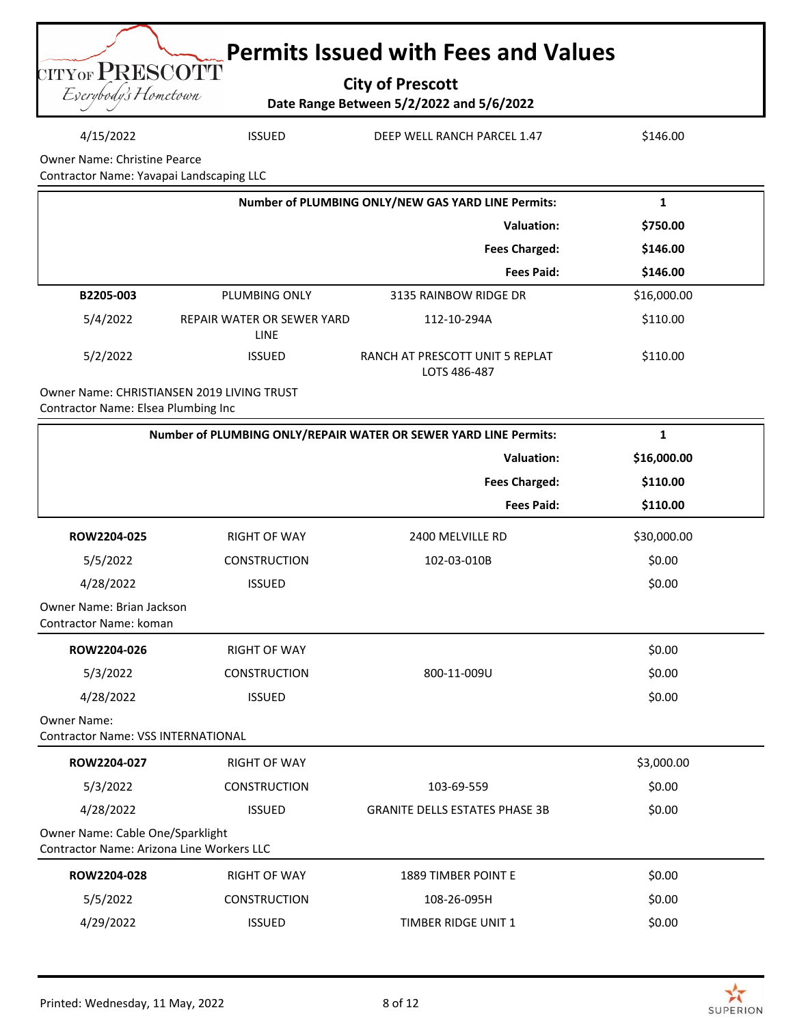|                                         | <b>Example Permits Issued with Fees and Values</b>                  |  |
|-----------------------------------------|---------------------------------------------------------------------|--|
| CITYOF PRESCOTT<br>Eserybody's Hometown | <b>City of Prescott</b><br>Date Range Between 5/2/2022 and 5/6/2022 |  |

### 4/15/2022 ISSUED DEEP WELL RANCH PARCEL 1.47 \$146.00

Owner Name: Christine Pearce

Contractor Name: Yavapai Landscaping LLC

|           | Number of PLUMBING ONLY/NEW GAS YARD LINE Permits: |                                                 |             |
|-----------|----------------------------------------------------|-------------------------------------------------|-------------|
|           | Valuation:                                         |                                                 | \$750.00    |
|           |                                                    | <b>Fees Charged:</b>                            | \$146.00    |
|           |                                                    | <b>Fees Paid:</b>                               | \$146.00    |
| B2205-003 | PLUMBING ONLY                                      | 3135 RAINBOW RIDGE DR                           | \$16,000.00 |
| 5/4/2022  | REPAIR WATER OR SEWER YARD<br><b>LINE</b>          | 112-10-294A                                     | \$110.00    |
| 5/2/2022  | <b>ISSUED</b>                                      | RANCH AT PRESCOTT UNIT 5 REPLAT<br>LOTS 486-487 | \$110.00    |

Owner Name: CHRISTIANSEN 2019 LIVING TRUST Contractor Name: Elsea Plumbing Inc

| Number of PLUMBING ONLY/REPAIR WATER OR SEWER YARD LINE Permits:              |                     |                                       | 1           |
|-------------------------------------------------------------------------------|---------------------|---------------------------------------|-------------|
|                                                                               |                     | <b>Valuation:</b>                     | \$16,000.00 |
|                                                                               |                     | <b>Fees Charged:</b>                  | \$110.00    |
|                                                                               |                     | <b>Fees Paid:</b>                     | \$110.00    |
| ROW2204-025                                                                   | <b>RIGHT OF WAY</b> | 2400 MELVILLE RD                      | \$30,000.00 |
| 5/5/2022                                                                      | <b>CONSTRUCTION</b> | 102-03-010B                           | \$0.00      |
| 4/28/2022                                                                     | <b>ISSUED</b>       |                                       | \$0.00      |
| Owner Name: Brian Jackson<br><b>Contractor Name: koman</b>                    |                     |                                       |             |
| ROW2204-026                                                                   | <b>RIGHT OF WAY</b> |                                       | \$0.00      |
| 5/3/2022                                                                      | <b>CONSTRUCTION</b> | 800-11-009U                           | \$0.00      |
| 4/28/2022                                                                     | <b>ISSUED</b>       |                                       | \$0.00      |
| <b>Owner Name:</b><br><b>Contractor Name: VSS INTERNATIONAL</b>               |                     |                                       |             |
| ROW2204-027                                                                   | <b>RIGHT OF WAY</b> |                                       | \$3,000.00  |
| 5/3/2022                                                                      | <b>CONSTRUCTION</b> | 103-69-559                            | \$0.00      |
| 4/28/2022                                                                     | <b>ISSUED</b>       | <b>GRANITE DELLS ESTATES PHASE 3B</b> | \$0.00      |
| Owner Name: Cable One/Sparklight<br>Contractor Name: Arizona Line Workers LLC |                     |                                       |             |
| ROW2204-028                                                                   | <b>RIGHT OF WAY</b> | <b>1889 TIMBER POINT E</b>            | \$0.00      |
| 5/5/2022                                                                      | <b>CONSTRUCTION</b> | 108-26-095H                           | \$0.00      |
| 4/29/2022                                                                     | <b>ISSUED</b>       | <b>TIMBER RIDGE UNIT 1</b>            | \$0.00      |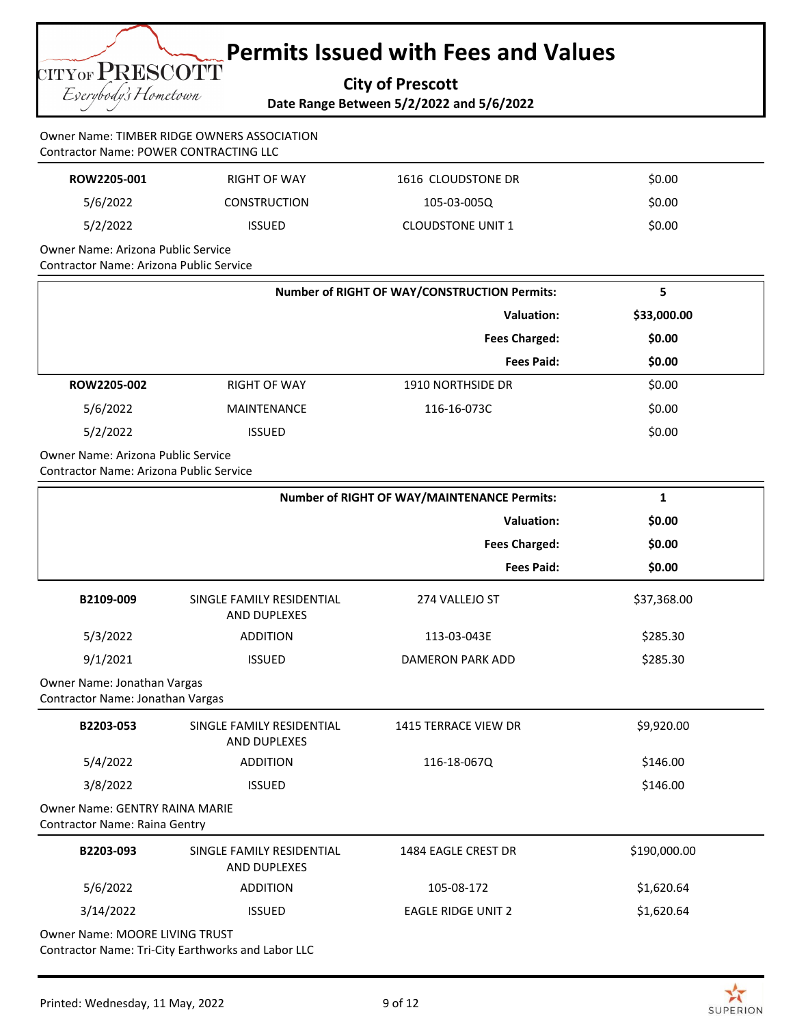**City of Prescott**

**Date Range Between 5/2/2022 and 5/6/2022**

#### Owner Name: TIMBER RIDGE OWNERS ASSOCIATION Contractor Name: POWER CONTRACTING LLC

| ROW2205-001 | RIGHT OF WAY        | 1616 CLOUDSTONE DR       | \$0.00 |
|-------------|---------------------|--------------------------|--------|
| 5/6/2022    | <b>CONSTRUCTION</b> | 105-03-005Q              | \$0.00 |
| 5/2/2022    | <b>ISSUED</b>       | <b>CLOUDSTONE UNIT 1</b> | \$0.00 |
|             |                     |                          |        |

Owner Name: Arizona Public Service Contractor Name: Arizona Public Service

CITYOF PRESCOTT Everybody's Hometown

|             | <b>Number of RIGHT OF WAY/CONSTRUCTION Permits:</b> |                          |             |
|-------------|-----------------------------------------------------|--------------------------|-------------|
|             | Valuation:                                          |                          | \$33,000.00 |
|             |                                                     | <b>Fees Charged:</b>     | \$0.00      |
|             |                                                     | <b>Fees Paid:</b>        | \$0.00      |
| ROW2205-002 | <b>RIGHT OF WAY</b>                                 | <b>1910 NORTHSIDE DR</b> | \$0.00      |
| 5/6/2022    | MAINTENANCE                                         | 116-16-073C              | \$0.00      |
| 5/2/2022    | <b>ISSUED</b>                                       |                          | \$0.00      |

Owner Name: Arizona Public Service Contractor Name: Arizona Public Service

|                                                                        |                                                  | <b>Number of RIGHT OF WAY/MAINTENANCE Permits:</b> | $\mathbf{1}$ |
|------------------------------------------------------------------------|--------------------------------------------------|----------------------------------------------------|--------------|
|                                                                        |                                                  | <b>Valuation:</b>                                  | \$0.00       |
|                                                                        |                                                  | <b>Fees Charged:</b>                               | \$0.00       |
|                                                                        |                                                  | <b>Fees Paid:</b>                                  | \$0.00       |
| B2109-009                                                              | SINGLE FAMILY RESIDENTIAL<br><b>AND DUPLEXES</b> | 274 VALLEJO ST                                     | \$37,368.00  |
| 5/3/2022                                                               | <b>ADDITION</b>                                  | 113-03-043E                                        | \$285.30     |
| 9/1/2021                                                               | <b>ISSUED</b>                                    | <b>DAMERON PARK ADD</b>                            | \$285.30     |
| Owner Name: Jonathan Vargas<br>Contractor Name: Jonathan Vargas        |                                                  |                                                    |              |
| B2203-053                                                              | SINGLE FAMILY RESIDENTIAL<br><b>AND DUPLEXES</b> | <b>1415 TERRACE VIEW DR</b>                        | \$9,920.00   |
| 5/4/2022                                                               | <b>ADDITION</b>                                  | 116-18-0670                                        | \$146.00     |
| 3/8/2022                                                               | <b>ISSUED</b>                                    |                                                    | \$146.00     |
| <b>Owner Name: GENTRY RAINA MARIE</b><br>Contractor Name: Raina Gentry |                                                  |                                                    |              |
| B2203-093                                                              | SINGLE FAMILY RESIDENTIAL<br><b>AND DUPLEXES</b> | 1484 EAGLE CREST DR                                | \$190,000.00 |
| 5/6/2022                                                               | <b>ADDITION</b>                                  | 105-08-172                                         | \$1,620.64   |
| 3/14/2022                                                              | <b>ISSUED</b>                                    | <b>EAGLE RIDGE UNIT 2</b>                          | \$1,620.64   |
| <b>Owner Name: MOORE LIVING TRUST</b>                                  |                                                  |                                                    |              |

Contractor Name: Tri-City Earthworks and Labor LLC

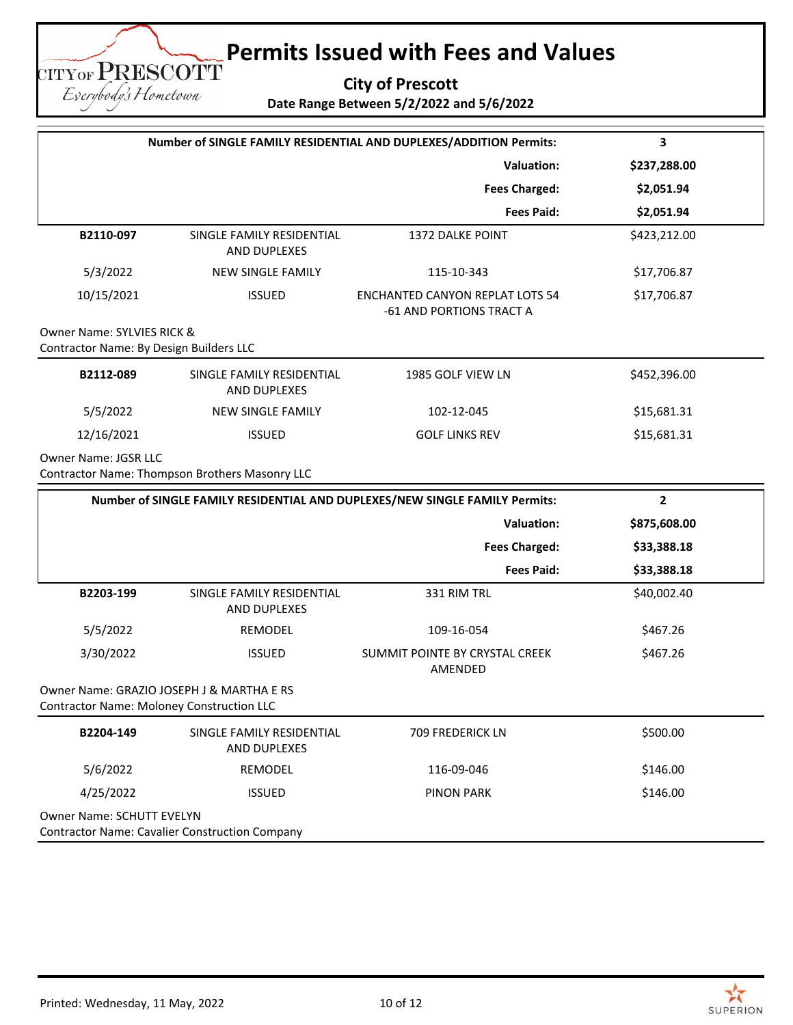**City of Prescott Date Range Between 5/2/2022 and 5/6/2022**

|                                                                                               | Number of SINGLE FAMILY RESIDENTIAL AND DUPLEXES/ADDITION Permits: |                                                                             |              |
|-----------------------------------------------------------------------------------------------|--------------------------------------------------------------------|-----------------------------------------------------------------------------|--------------|
|                                                                                               |                                                                    | <b>Valuation:</b>                                                           | \$237,288.00 |
|                                                                                               |                                                                    | <b>Fees Charged:</b>                                                        | \$2,051.94   |
|                                                                                               |                                                                    | <b>Fees Paid:</b>                                                           | \$2,051.94   |
| B2110-097                                                                                     | SINGLE FAMILY RESIDENTIAL<br>AND DUPLEXES                          | <b>1372 DALKE POINT</b>                                                     | \$423,212.00 |
| 5/3/2022                                                                                      | <b>NEW SINGLE FAMILY</b>                                           | 115-10-343                                                                  | \$17,706.87  |
| 10/15/2021                                                                                    | <b>ISSUED</b>                                                      | <b>ENCHANTED CANYON REPLAT LOTS 54</b><br>-61 AND PORTIONS TRACT A          | \$17,706.87  |
| Owner Name: SYLVIES RICK &<br>Contractor Name: By Design Builders LLC                         |                                                                    |                                                                             |              |
| B2112-089                                                                                     | SINGLE FAMILY RESIDENTIAL<br>AND DUPLEXES                          | 1985 GOLF VIEW LN                                                           | \$452,396.00 |
| 5/5/2022                                                                                      | <b>NEW SINGLE FAMILY</b>                                           | 102-12-045                                                                  | \$15,681.31  |
| 12/16/2021                                                                                    | <b>ISSUED</b>                                                      | <b>GOLF LINKS REV</b>                                                       | \$15,681.31  |
| <b>Owner Name: JGSR LLC</b>                                                                   | Contractor Name: Thompson Brothers Masonry LLC                     |                                                                             |              |
|                                                                                               |                                                                    | Number of SINGLE FAMILY RESIDENTIAL AND DUPLEXES/NEW SINGLE FAMILY Permits: | $\mathbf{2}$ |
|                                                                                               |                                                                    | <b>Valuation:</b>                                                           | \$875,608.00 |
|                                                                                               |                                                                    | <b>Fees Charged:</b>                                                        | \$33,388.18  |
|                                                                                               |                                                                    | <b>Fees Paid:</b>                                                           | \$33,388.18  |
| B2203-199                                                                                     | SINGLE FAMILY RESIDENTIAL<br>AND DUPLEXES                          | 331 RIM TRL                                                                 | \$40,002.40  |
| 5/5/2022                                                                                      | REMODEL                                                            | 109-16-054                                                                  | \$467.26     |
| 3/30/2022                                                                                     | <b>ISSUED</b>                                                      | SUMMIT POINTE BY CRYSTAL CREEK<br>AMENDED                                   | \$467.26     |
| Owner Name: GRAZIO JOSEPH J & MARTHA E RS<br><b>Contractor Name: Moloney Construction LLC</b> |                                                                    |                                                                             |              |
| B2204-149                                                                                     | SINGLE FAMILY RESIDENTIAL<br>AND DUPLEXES                          | 709 FREDERICK LN                                                            | \$500.00     |
| 5/6/2022                                                                                      | REMODEL                                                            | 116-09-046                                                                  | \$146.00     |
| 4/25/2022                                                                                     | <b>ISSUED</b>                                                      | <b>PINON PARK</b>                                                           | \$146.00     |
| Owner Name: SCHUTT EVELYN                                                                     |                                                                    |                                                                             |              |



**TITYOF PRESCOTT** Eserybody's Hometown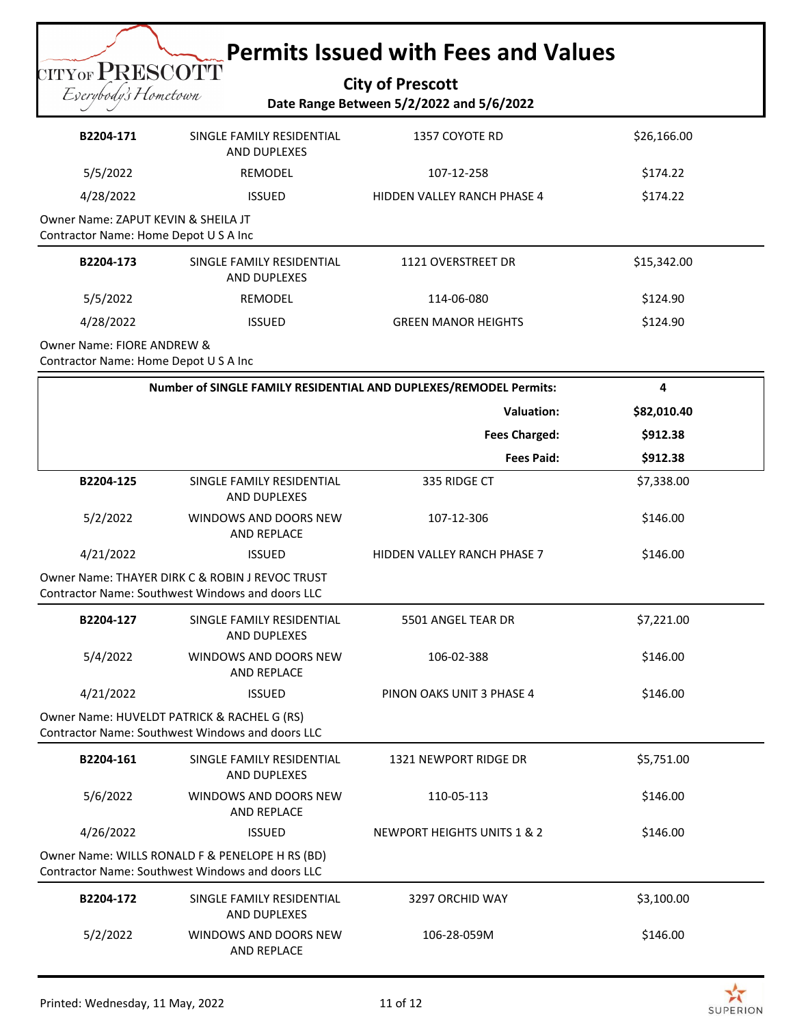**City of Prescott Date Range Between 5/2/2022 and 5/6/2022**

| B2204-171                                                                    | SINGLE FAMILY RESIDENTIAL<br>AND DUPLEXES                                                           | 1357 COYOTE RD                                                    | \$26,166.00 |
|------------------------------------------------------------------------------|-----------------------------------------------------------------------------------------------------|-------------------------------------------------------------------|-------------|
| 5/5/2022                                                                     | REMODEL                                                                                             | 107-12-258                                                        | \$174.22    |
| 4/28/2022                                                                    | <b>ISSUED</b>                                                                                       | HIDDEN VALLEY RANCH PHASE 4                                       | \$174.22    |
| Owner Name: ZAPUT KEVIN & SHEILA JT<br>Contractor Name: Home Depot U S A Inc |                                                                                                     |                                                                   |             |
| B2204-173                                                                    | SINGLE FAMILY RESIDENTIAL<br>AND DUPLEXES                                                           | 1121 OVERSTREET DR                                                | \$15,342.00 |
| 5/5/2022                                                                     | REMODEL                                                                                             | 114-06-080                                                        | \$124.90    |
| 4/28/2022                                                                    | <b>ISSUED</b>                                                                                       | <b>GREEN MANOR HEIGHTS</b>                                        | \$124.90    |
| Owner Name: FIORE ANDREW &<br>Contractor Name: Home Depot U S A Inc          |                                                                                                     |                                                                   |             |
|                                                                              |                                                                                                     | Number of SINGLE FAMILY RESIDENTIAL AND DUPLEXES/REMODEL Permits: | 4           |
|                                                                              |                                                                                                     | <b>Valuation:</b>                                                 | \$82,010.40 |
|                                                                              |                                                                                                     | <b>Fees Charged:</b>                                              | \$912.38    |
|                                                                              |                                                                                                     | <b>Fees Paid:</b>                                                 | \$912.38    |
| B2204-125                                                                    | SINGLE FAMILY RESIDENTIAL<br>AND DUPLEXES                                                           | 335 RIDGE CT                                                      | \$7,338.00  |
| 5/2/2022                                                                     | WINDOWS AND DOORS NEW<br>AND REPLACE                                                                | 107-12-306                                                        | \$146.00    |
| 4/21/2022                                                                    | <b>ISSUED</b>                                                                                       | HIDDEN VALLEY RANCH PHASE 7                                       | \$146.00    |
|                                                                              | Owner Name: THAYER DIRK C & ROBIN J REVOC TRUST<br>Contractor Name: Southwest Windows and doors LLC |                                                                   |             |
| B2204-127                                                                    | SINGLE FAMILY RESIDENTIAL<br>AND DUPLEXES                                                           | 5501 ANGEL TEAR DR                                                | \$7,221.00  |
| 5/4/2022                                                                     | WINDOWS AND DOORS NEW<br><b>AND REPLACE</b>                                                         | 106-02-388                                                        | \$146.00    |
| 4/21/2022                                                                    | <b>ISSUED</b>                                                                                       | PINON OAKS UNIT 3 PHASE 4                                         | \$146.00    |
|                                                                              | Owner Name: HUVELDT PATRICK & RACHEL G (RS)<br>Contractor Name: Southwest Windows and doors LLC     |                                                                   |             |
| B2204-161                                                                    | SINGLE FAMILY RESIDENTIAL<br>AND DUPLEXES                                                           | 1321 NEWPORT RIDGE DR                                             | \$5,751.00  |
| 5/6/2022                                                                     | WINDOWS AND DOORS NEW<br>AND REPLACE                                                                | 110-05-113                                                        | \$146.00    |
| 4/26/2022                                                                    | <b>ISSUED</b>                                                                                       | NEWPORT HEIGHTS UNITS 1 & 2                                       | \$146.00    |
|                                                                              | Owner Name: WILLS RONALD F & PENELOPE H RS (BD)                                                     |                                                                   |             |

Contractor Name: Southwest Windows and doors LLC

| B2204-172 | SINGLE FAMILY RESIDENTIAL<br>AND DUPLEXES | 3297 ORCHID WAY | \$3,100.00 |
|-----------|-------------------------------------------|-----------------|------------|
| 5/2/2022  | WINDOWS AND DOORS NEW<br>AND REPLACE      | 106-28-059M     | \$146.00   |

CITY OF PRESCOTT Everybody's Hometown